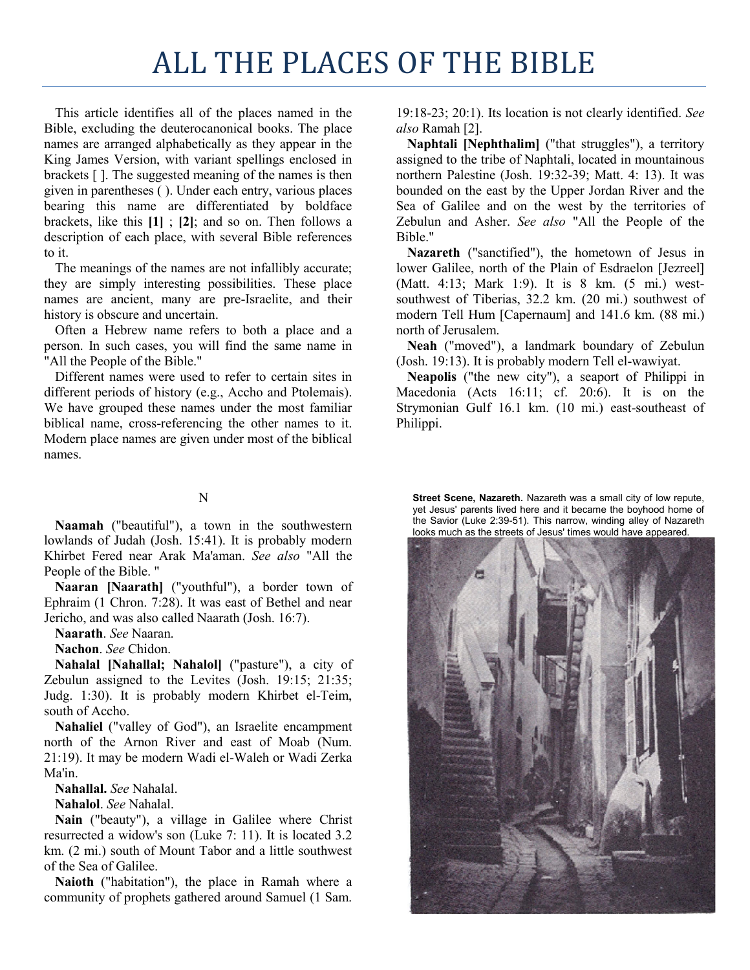## ALL THE PLACES OF THE BIBLE

This article identifies all of the places named in the Bible, excluding the deuterocanonical books. The place names are arranged alphabetically as they appear in the King James Version, with variant spellings enclosed in brackets [ ]. The suggested meaning of the names is then given in parentheses ( ). Under each entry, various places bearing this name are differentiated by boldface brackets, like this **[1]** ; **[2]**; and so on. Then follows a description of each place, with several Bible references to it.

The meanings of the names are not infallibly accurate; they are simply interesting possibilities. These place names are ancient, many are pre-Israelite, and their history is obscure and uncertain.

Often a Hebrew name refers to both a place and a person. In such cases, you will find the same name in "All the People of the Bible."

Different names were used to refer to certain sites in different periods of history (e.g., Accho and Ptolemais). We have grouped these names under the most familiar biblical name, cross-referencing the other names to it. Modern place names are given under most of the biblical names.

## 19:18-23; 20:1). Its location is not clearly identified. *See also* Ramah [2].

**Naphtali [Nephthalim]** ("that struggles"), a territory assigned to the tribe of Naphtali, located in mountainous northern Palestine (Josh. 19:32-39; Matt. 4: 13). It was bounded on the east by the Upper Jordan River and the Sea of Galilee and on the west by the territories of Zebulun and Asher. *See also* "All the People of the Bible."

**Nazareth** ("sanctified"), the hometown of Jesus in lower Galilee, north of the Plain of Esdraelon [Jezreel] (Matt. 4:13; Mark 1:9). It is 8 km. (5 mi.) westsouthwest of Tiberias, 32.2 km. (20 mi.) southwest of modern Tell Hum [Capernaum] and 141.6 km. (88 mi.) north of Jerusalem.

**Neah** ("moved"), a landmark boundary of Zebulun (Josh. 19:13). It is probably modern Tell el-wawiyat.

**Neapolis** ("the new city"), a seaport of Philippi in Macedonia (Acts 16:11; cf. 20:6). It is on the Strymonian Gulf 16.1 km. (10 mi.) east-southeast of Philippi.

## N

**Naamah** ("beautiful"), a town in the southwestern lowlands of Judah (Josh. 15:41). It is probably modern Khirbet Fered near Arak Ma'aman. *See also* "All the People of the Bible. "

**Naaran [Naarath]** ("youthful"), a border town of Ephraim (1 Chron. 7:28). It was east of Bethel and near Jericho, and was also called Naarath (Josh. 16:7).

**Naarath**. *See* Naaran.

**Nachon**. *See* Chidon.

**Nahalal [Nahallal; Nahalol]** ("pasture"), a city of Zebulun assigned to the Levites (Josh. 19:15; 21:35; Judg. 1:30). It is probably modern Khirbet el-Teim, south of Accho.

**Nahaliel** ("valley of God"), an Israelite encampment north of the Arnon River and east of Moab (Num. 21:19). It may be modern Wadi el-Waleh or Wadi Zerka Ma'in.

**Nahallal.** *See* Nahalal.

**Nahalol**. *See* Nahalal.

**Nain** ("beauty"), a village in Galilee where Christ resurrected a widow's son (Luke 7: 11). It is located 3.2 km. (2 mi.) south of Mount Tabor and a little southwest of the Sea of Galilee.

**Naioth** ("habitation"), the place in Ramah where a community of prophets gathered around Samuel (1 Sam.

**Street Scene, Nazareth.** Nazareth was a small city of low repute, yet Jesus' parents lived here and it became the boyhood home of the Savior (Luke 2:39-51). This narrow, winding alley of Nazareth looks much as the streets of Jesus' times would have appeared.